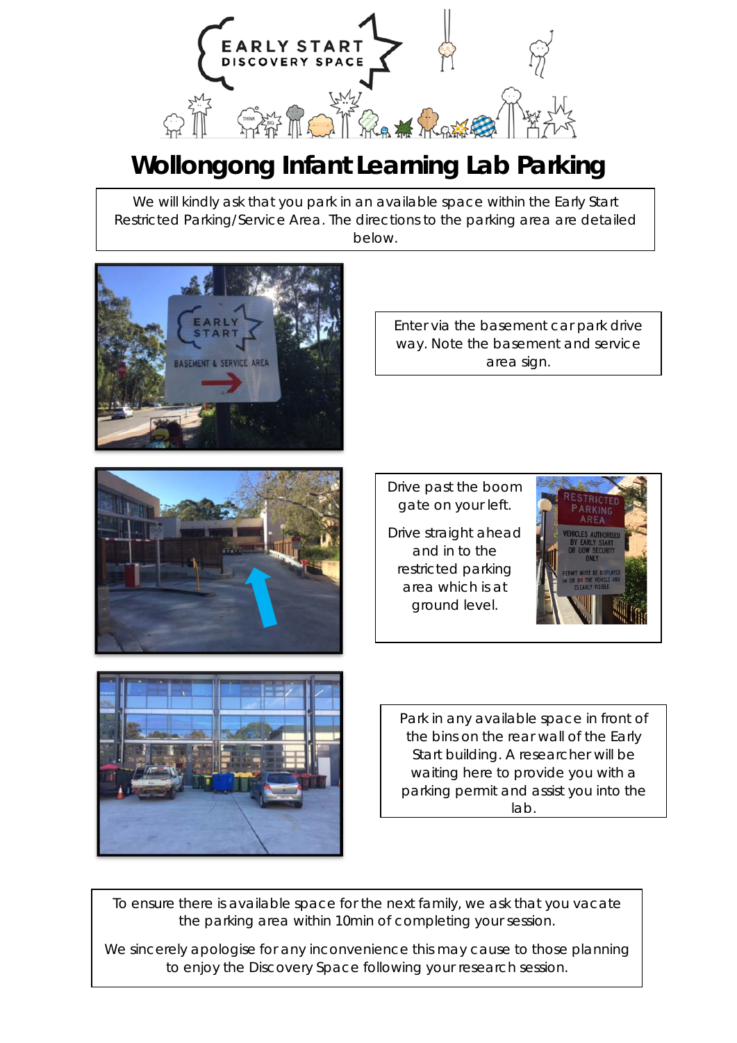

## **Wollongong Infant Learning Lab Parking**

We will kindly ask that you park in an available space within the Early Start Restricted Parking/Service Area. The directions to the parking area are detailed below.



Enter via the basement car park drive way. Note the basement and service area sign.



Drive past the boom gate on your left. Drive straight ahead and in to the restricted parking

> area which is at ground level.





Park in any available space in front of the bins on the rear wall of the Early Start building. A researcher will be waiting here to provide you with a parking permit and assist you into the lab.

To ensure there is available space for the next family, we ask that you vacate the parking area within 10min of completing your session.

We sincerely apologise for any inconvenience this may cause to those planning to enjoy the Discovery Space following your research session.